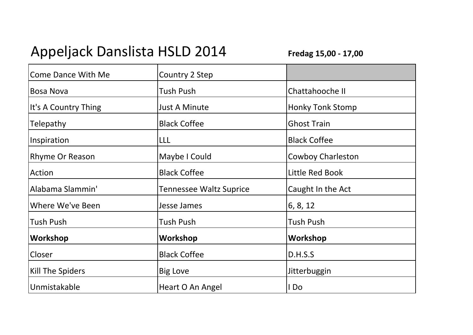## Appeljack Danslista HSLD 2014

**Fredag 15,00 - 17,00**

| <b>Come Dance With Me</b> | Country 2 Step                 |                          |
|---------------------------|--------------------------------|--------------------------|
| <b>Bosa Nova</b>          | <b>Tush Push</b>               | Chattahooche II          |
| It's A Country Thing      | <b>Just A Minute</b>           | <b>Honky Tonk Stomp</b>  |
| <b>Telepathy</b>          | <b>Black Coffee</b>            | <b>Ghost Train</b>       |
| Inspiration               | LLL                            | <b>Black Coffee</b>      |
| Rhyme Or Reason           | Maybe I Could                  | <b>Cowboy Charleston</b> |
| Action                    | <b>Black Coffee</b>            | Little Red Book          |
| Alabama Slammin'          | <b>Tennessee Waltz Suprice</b> | Caught In the Act        |
| Where We've Been          | Jesse James                    | 6, 8, 12                 |
| Tush Push                 | <b>Tush Push</b>               | <b>Tush Push</b>         |
| Workshop                  | Workshop                       | Workshop                 |
| Closer                    | <b>Black Coffee</b>            | D.H.S.S                  |
| Kill The Spiders          | <b>Big Love</b>                | Jitterbuggin             |
| Unmistakable              | Heart O An Angel               | I Do                     |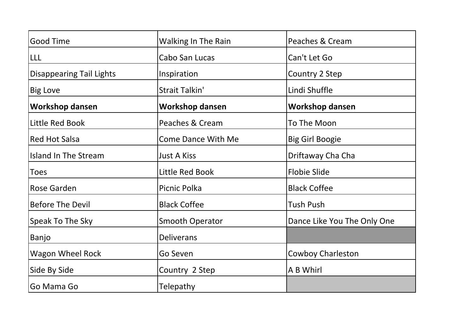| Good Time                       | <b>Walking In The Rain</b> | Peaches & Cream             |
|---------------------------------|----------------------------|-----------------------------|
| LLL                             | Cabo San Lucas             | Can't Let Go                |
| <b>Disappearing Tail Lights</b> | Inspiration                | Country 2 Step              |
| <b>Big Love</b>                 | Strait Talkin'             | Lindi Shuffle               |
| <b>Workshop dansen</b>          | <b>Workshop dansen</b>     | <b>Workshop dansen</b>      |
| Little Red Book                 | Peaches & Cream            | To The Moon                 |
| <b>Red Hot Salsa</b>            | <b>Come Dance With Me</b>  | <b>Big Girl Boogie</b>      |
| <b>Island In The Stream</b>     | <b>Just A Kiss</b>         | Driftaway Cha Cha           |
| <b>Toes</b>                     | Little Red Book            | <b>Flobie Slide</b>         |
| Rose Garden                     | Picnic Polka               | <b>Black Coffee</b>         |
| <b>Before The Devil</b>         | <b>Black Coffee</b>        | <b>Tush Push</b>            |
| Speak To The Sky                | <b>Smooth Operator</b>     | Dance Like You The Only One |
| Banjo                           | <b>Deliverans</b>          |                             |
| <b>Wagon Wheel Rock</b>         | Go Seven                   | <b>Cowboy Charleston</b>    |
| Side By Side                    | Country 2 Step             | A B Whirl                   |
| Go Mama Go                      | Telepathy                  |                             |